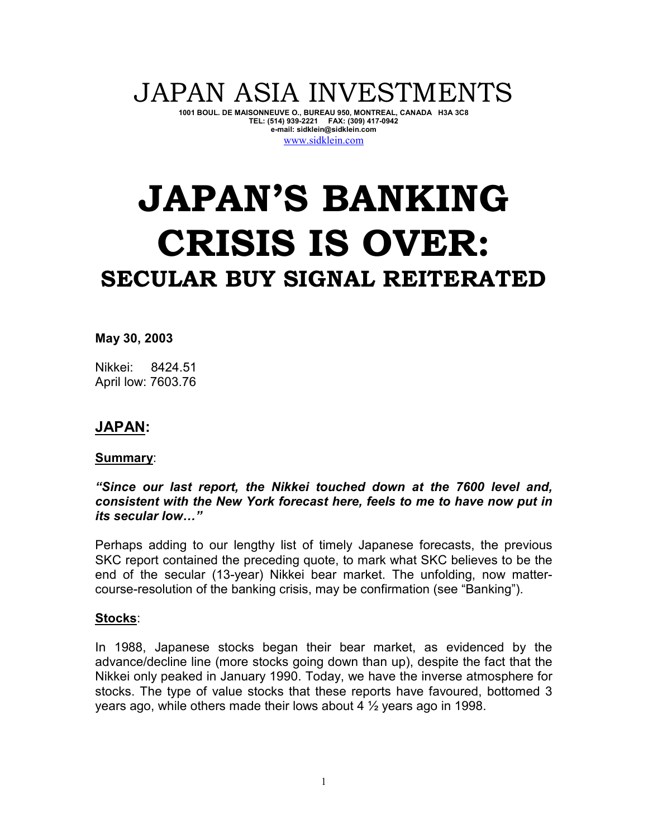# JAPAN ASIA INVESTMENTS

**1001 BOUL. DE MAISONNEUVE O., BUREAU 950, MONTREAL, CANADA H3A 3C8 TEL: (514) 939-2221 FAX: (309) 417-0942 e-mail: sidklein@sidklein.com**  www.sidklein.com

# **JAPAN'S BANKING CRISIS IS OVER: SECULAR BUY SIGNAL REITERATED**

**May 30, 2003** 

Nikkei: 8424.51 April low: 7603.76

# **JAPAN:**

#### **Summary**:

#### *"Since our last report, the Nikkei touched down at the 7600 level and, consistent with the New York forecast here, feels to me to have now put in its secular low..."*

Perhaps adding to our lengthy list of timely Japanese forecasts, the previous SKC report contained the preceding quote, to mark what SKC believes to be the end of the secular (13-year) Nikkei bear market. The unfolding, now mattercourse-resolution of the banking crisis, may be confirmation (see "Banking").

#### **Stocks**:

In 1988, Japanese stocks began their bear market, as evidenced by the advance/decline line (more stocks going down than up), despite the fact that the Nikkei only peaked in January 1990. Today, we have the inverse atmosphere for stocks. The type of value stocks that these reports have favoured, bottomed 3 years ago, while others made their lows about 4 ½ years ago in 1998.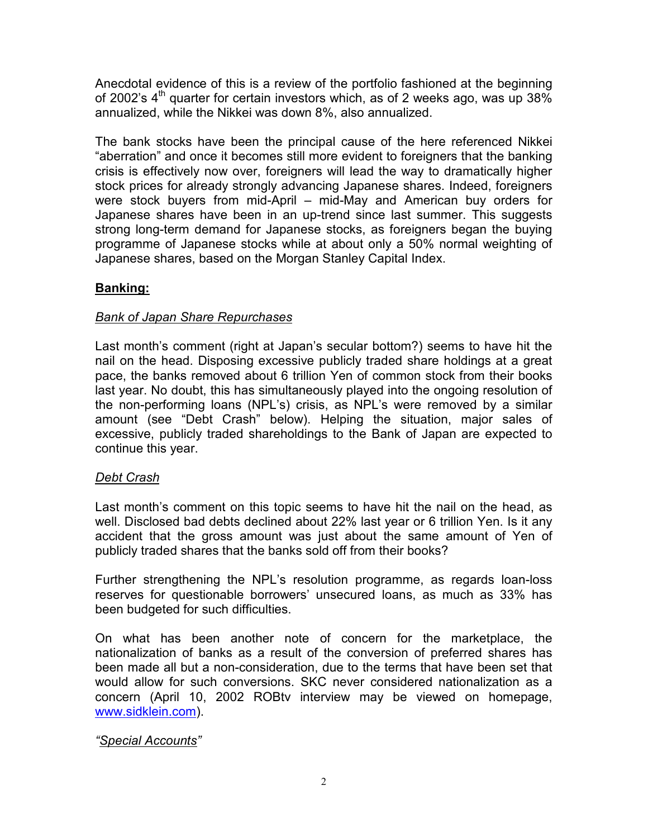Anecdotal evidence of this is a review of the portfolio fashioned at the beginning of 2002's 4<sup>th</sup> quarter for certain investors which, as of 2 weeks ago, was up 38% annualized, while the Nikkei was down 8%, also annualized.

The bank stocks have been the principal cause of the here referenced Nikkei "aberration" and once it becomes still more evident to foreigners that the banking crisis is effectively now over, foreigners will lead the way to dramatically higher stock prices for already strongly advancing Japanese shares. Indeed, foreigners were stock buyers from mid-April – mid-May and American buy orders for Japanese shares have been in an up-trend since last summer. This suggests strong long-term demand for Japanese stocks, as foreigners began the buying programme of Japanese stocks while at about only a 50% normal weighting of Japanese shares, based on the Morgan Stanley Capital Index.

# **Banking:**

#### *Bank of Japan Share Repurchases*

Last month's comment (right at Japan's secular bottom?) seems to have hit the nail on the head. Disposing excessive publicly traded share holdings at a great pace, the banks removed about 6 trillion Yen of common stock from their books last year. No doubt, this has simultaneously played into the ongoing resolution of the non-performing loans (NPL's) crisis, as NPL's were removed by a similar amount (see "Debt Crash" below). Helping the situation, major sales of excessive, publicly traded shareholdings to the Bank of Japan are expected to continue this year.

# *Debt Crash*

Last month's comment on this topic seems to have hit the nail on the head, as well. Disclosed bad debts declined about 22% last year or 6 trillion Yen. Is it any accident that the gross amount was just about the same amount of Yen of publicly traded shares that the banks sold off from their books?

Further strengthening the NPL's resolution programme, as regards loan-loss reserves for questionable borrowers' unsecured loans, as much as 33% has been budgeted for such difficulties.

On what has been another note of concern for the marketplace, the nationalization of banks as a result of the conversion of preferred shares has been made all but a non-consideration, due to the terms that have been set that would allow for such conversions. SKC never considered nationalization as a concern (April 10, 2002 ROBtv interview may be viewed on homepage, www.sidklein.com).

# *"Special Accounts"*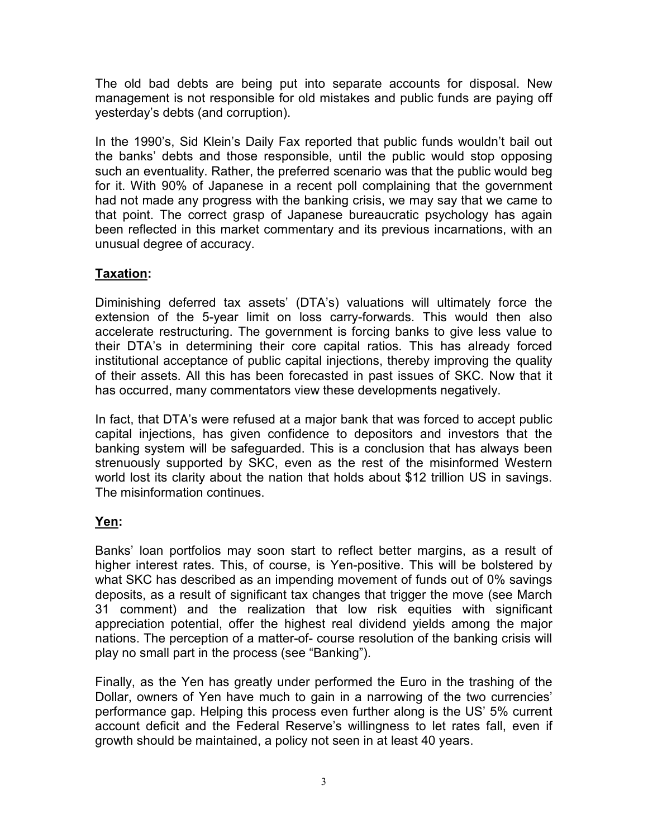The old bad debts are being put into separate accounts for disposal. New management is not responsible for old mistakes and public funds are paying off yesterday's debts (and corruption).

In the 1990's, Sid Klein's Daily Fax reported that public funds wouldn't bail out the banks' debts and those responsible, until the public would stop opposing such an eventuality. Rather, the preferred scenario was that the public would beg for it. With 90% of Japanese in a recent poll complaining that the government had not made any progress with the banking crisis, we may say that we came to that point. The correct grasp of Japanese bureaucratic psychology has again been reflected in this market commentary and its previous incarnations, with an unusual degree of accuracy.

# **Taxation:**

Diminishing deferred tax assets' (DTA's) valuations will ultimately force the extension of the 5-year limit on loss carry-forwards. This would then also accelerate restructuring. The government is forcing banks to give less value to their DTA's in determining their core capital ratios. This has already forced institutional acceptance of public capital injections, thereby improving the quality of their assets. All this has been forecasted in past issues of SKC. Now that it has occurred, many commentators view these developments negatively.

In fact, that DTA's were refused at a major bank that was forced to accept public capital injections, has given confidence to depositors and investors that the banking system will be safeguarded. This is a conclusion that has always been strenuously supported by SKC, even as the rest of the misinformed Western world lost its clarity about the nation that holds about \$12 trillion US in savings. The misinformation continues.

# **Yen:**

Banks' loan portfolios may soon start to reflect better margins, as a result of higher interest rates. This, of course, is Yen-positive. This will be bolstered by what SKC has described as an impending movement of funds out of 0% savings deposits, as a result of significant tax changes that trigger the move (see March 31 comment) and the realization that low risk equities with significant appreciation potential, offer the highest real dividend yields among the major nations. The perception of a matter-of- course resolution of the banking crisis will play no small part in the process (see "Banking").

Finally, as the Yen has greatly under performed the Euro in the trashing of the Dollar, owners of Yen have much to gain in a narrowing of the two currencies' performance gap. Helping this process even further along is the US' 5% current account deficit and the Federal Reserve's willingness to let rates fall, even if growth should be maintained, a policy not seen in at least 40 years.